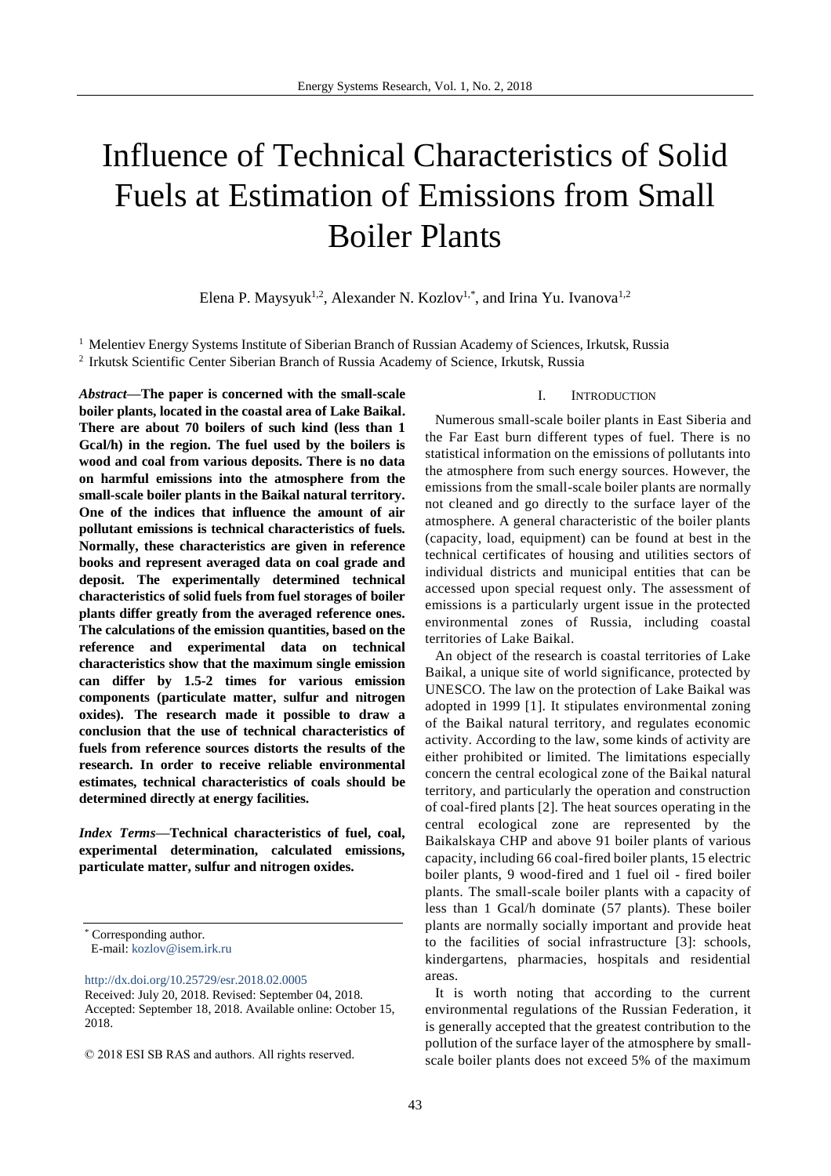# Influence of Technical Characteristics of Solid Fuels at Estimation of Emissions from Small Boiler Plants

Elena P. Maysyuk<sup>1,2</sup>, Alexander N. Kozlov<sup>1,\*</sup>, and Irina Yu. Ivanova<sup>1,2</sup>

<sup>1</sup> Melentiev Energy Systems Institute of Siberian Branch of Russian Academy of Sciences, Irkutsk, Russia <sup>2</sup> Irkutsk Scientific Center Siberian Branch of Russia Academy of Science, Irkutsk, Russia

*Abstract***—The paper is concerned with the small-scale boiler plants, located in the coastal area of Lake Baikal. There are about 70 boilers of such kind (less than 1 Gcal/h) in the region. The fuel used by the boilers is wood and coal from various deposits. There is no data on harmful emissions into the atmosphere from the small-scale boiler plants in the Baikal natural territory. One of the indices that influence the amount of air pollutant emissions is technical characteristics of fuels. Normally, these characteristics are given in reference books and represent averaged data on coal grade and deposit. The experimentally determined technical characteristics of solid fuels from fuel storages of boiler plants differ greatly from the averaged reference ones. The calculations of the emission quantities, based on the reference and experimental data on technical characteristics show that the maximum single emission can differ by 1.5-2 times for various emission components (particulate matter, sulfur and nitrogen oxides). The research made it possible to draw a conclusion that the use of technical characteristics of fuels from reference sources distorts the results of the research. In order to receive reliable environmental estimates, technical characteristics of coals should be determined directly at energy facilities.**

*Index Terms***—Technical characteristics of fuel, coal, experimental determination, calculated emissions, particulate matter, sulfur and nitrogen oxides.**

E-mail: [kozlov@isem.irk.ru](mailto:kozlov@isem.irk.ru)

<http://dx.doi.org/10.25729/esr.2018.02.0005>

# Numerous small-scale boiler plants in East Siberia and

I. INTRODUCTION

the Far East burn different types of fuel. There is no statistical information on the emissions of pollutants into the atmosphere from such energy sources. However, the emissions from the small-scale boiler plants are normally not cleaned and go directly to the surface layer of the atmosphere. A general characteristic of the boiler plants (capacity, load, equipment) can be found at best in the technical certificates of housing and utilities sectors of individual districts and municipal entities that can be accessed upon special request only. The assessment of emissions is a particularly urgent issue in the protected environmental zones of Russia, including coastal territories of Lake Baikal.

An object of the research is coastal territories of Lake Baikal, a unique site of world significance, protected by UNESCO. The law on the protection of Lake Baikal was adopted in 1999 [1]. It stipulates environmental zoning of the Baikal natural territory, and regulates economic activity. According to the law, some kinds of activity are either prohibited or limited. The limitations especially concern the central ecological zone of the Baikal natural territory, and particularly the operation and construction of coal-fired plants [2]. The heat sources operating in the central ecological zone are represented by the Baikalskaya CHP and above 91 boiler plants of various capacity, including 66 coal-fired boiler plants, 15 electric boiler plants, 9 wood-fired and 1 fuel oil - fired boiler plants. The small-scale boiler plants with a capacity of less than 1 Gcal/h dominate (57 plants). These boiler plants are normally socially important and provide heat to the facilities of social infrastructure [3]: schools, kindergartens, pharmacies, hospitals and residential areas.

It is worth noting that according to the current environmental regulations of the Russian Federation, it is generally accepted that the greatest contribution to the pollution of the surface layer of the atmosphere by smallscale boiler plants does not exceed 5% of the maximum

Corresponding author.

Received: July 20, 2018. Revised: September 04, 2018. Accepted: September 18, 2018. Available online: October 15, 2018.

<sup>© 2018</sup> ESI SB RAS and authors. All rights reserved.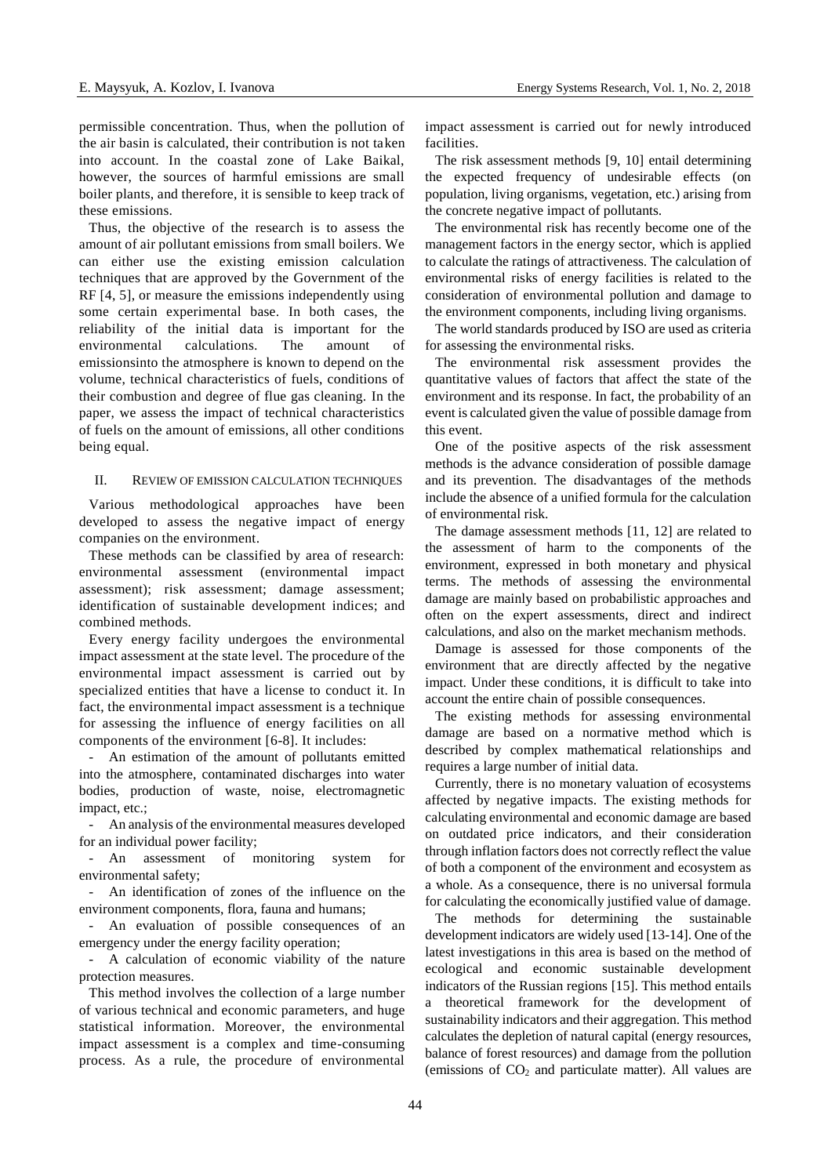permissible concentration. Thus, when the pollution of the air basin is calculated, their contribution is not taken into account. In the coastal zone of Lake Baikal, however, the sources of harmful emissions are small boiler plants, and therefore, it is sensible to keep track of these emissions.

Thus, the objective of the research is to assess the amount of air pollutant emissions from small boilers. We can either use the existing emission calculation techniques that are approved by the Government of the RF [4, 5], or measure the emissions independently using some certain experimental base. In both cases, the reliability of the initial data is important for the environmental calculations. The amount of emissionsinto the atmosphere is known to depend on the volume, technical characteristics of fuels, conditions of their combustion and degree of flue gas cleaning. In the paper, we assess the impact of technical characteristics of fuels on the amount of emissions, all other conditions being equal.

#### II. REVIEW OF EMISSION CALCULATION TECHNIQUES

Various methodological approaches have been developed to assess the negative impact of energy companies on the environment.

These methods can be classified by area of research: environmental assessment (environmental impact assessment); risk assessment; damage assessment; identification of sustainable development indices; and combined methods.

Every energy facility undergoes the environmental impact assessment at the state level. The procedure of the environmental impact assessment is carried out by specialized entities that have a license to conduct it. In fact, the environmental impact assessment is a technique for assessing the influence of energy facilities on all components of the environment [6-8]. It includes:

- An estimation of the amount of pollutants emitted into the atmosphere, contaminated discharges into water bodies, production of waste, noise, electromagnetic impact, etc.;

- An analysis of the environmental measures developed for an individual power facility;

- An assessment of monitoring system for environmental safety;

- An identification of zones of the influence on the environment components, flora, fauna and humans;

- An evaluation of possible consequences of an emergency under the energy facility operation;

- A calculation of economic viability of the nature protection measures.

This method involves the collection of a large number of various technical and economic parameters, and huge statistical information. Moreover, the environmental impact assessment is a complex and time-consuming process. As a rule, the procedure of environmental impact assessment is carried out for newly introduced facilities.

The risk assessment methods [9, 10] entail determining the expected frequency of undesirable effects (on population, living organisms, vegetation, etc.) arising from the concrete negative impact of pollutants.

The environmental risk has recently become one of the management factors in the energy sector, which is applied to calculate the ratings of attractiveness. The calculation of environmental risks of energy facilities is related to the consideration of environmental pollution and damage to the environment components, including living organisms.

The world standards produced by ISO are used as criteria for assessing the environmental risks.

The environmental risk assessment provides the quantitative values of factors that affect the state of the environment and its response. In fact, the probability of an event is calculated given the value of possible damage from this event.

One of the positive aspects of the risk assessment methods is the advance consideration of possible damage and its prevention. The disadvantages of the methods include the absence of a unified formula for the calculation of environmental risk.

The damage assessment methods [11, 12] are related to the assessment of harm to the components of the environment, expressed in both monetary and physical terms. The methods of assessing the environmental damage are mainly based on probabilistic approaches and often on the expert assessments, direct and indirect calculations, and also on the market mechanism methods.

Damage is assessed for those components of the environment that are directly affected by the negative impact. Under these conditions, it is difficult to take into account the entire chain of possible consequences.

The existing methods for assessing environmental damage are based on a normative method which is described by complex mathematical relationships and requires a large number of initial data.

Currently, there is no monetary valuation of ecosystems affected by negative impacts. The existing methods for calculating environmental and economic damage are based on outdated price indicators, and their consideration through inflation factors does not correctly reflect the value of both a component of the environment and ecosystem as a whole. As a consequence, there is no universal formula for calculating the economically justified value of damage.

The methods for determining the sustainable development indicators are widely used [13-14]. One of the latest investigations in this area is based on the method of ecological and economic sustainable development indicators of the Russian regions [15]. This method entails a theoretical framework for the development of sustainability indicators and their aggregation. This method calculates the depletion of natural capital (energy resources, balance of forest resources) and damage from the pollution (emissions of  $CO<sub>2</sub>$  and particulate matter). All values are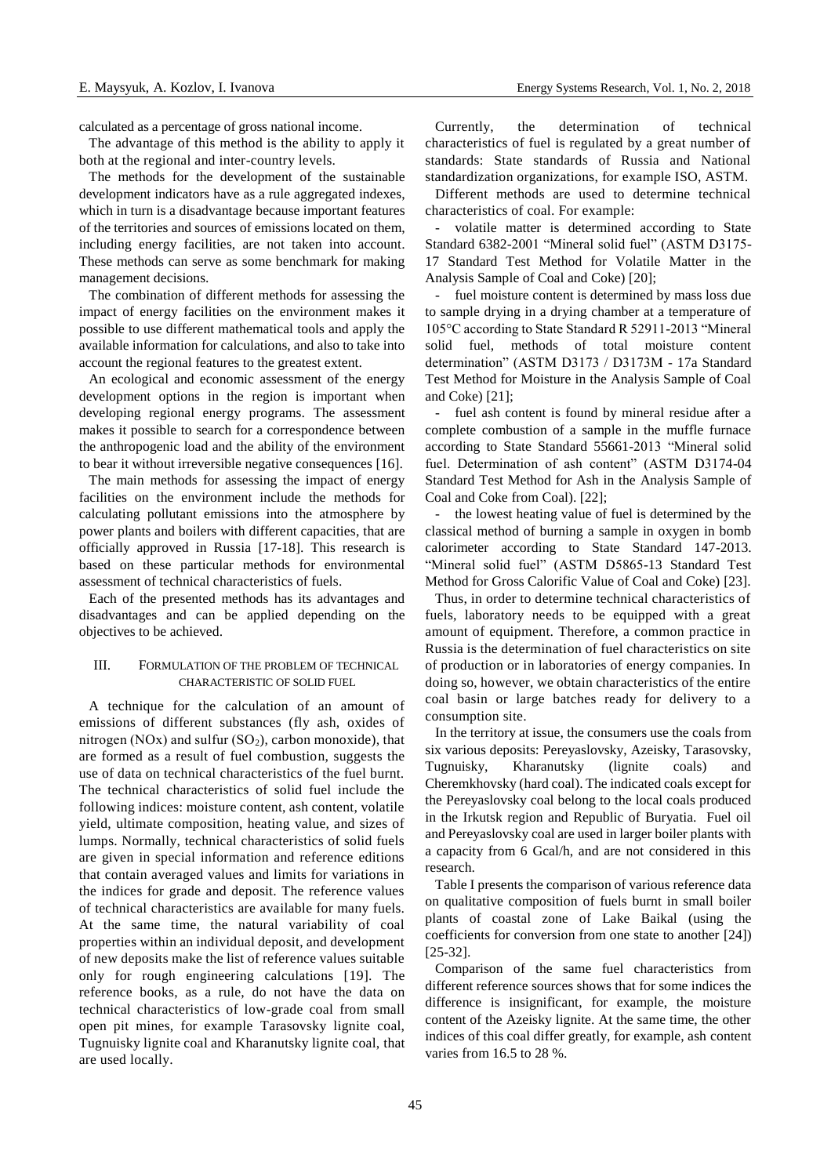calculated as a percentage of gross national income.

The advantage of this method is the ability to apply it both at the regional and inter-country levels.

The methods for the development of the sustainable development indicators have as a rule aggregated indexes, which in turn is a disadvantage because important features of the territories and sources of emissions located on them, including energy facilities, are not taken into account. These methods can serve as some benchmark for making management decisions.

The combination of different methods for assessing the impact of energy facilities on the environment makes it possible to use different mathematical tools and apply the available information for calculations, and also to take into account the regional features to the greatest extent.

An ecological and economic assessment of the energy development options in the region is important when developing regional energy programs. The assessment makes it possible to search for a correspondence between the anthropogenic load and the ability of the environment to bear it without irreversible negative consequences [16].

The main methods for assessing the impact of energy facilities on the environment include the methods for calculating pollutant emissions into the atmosphere by power plants and boilers with different capacities, that are officially approved in Russia [17-18]. This research is based on these particular methods for environmental assessment of technical characteristics of fuels.

Each of the presented methods has its advantages and disadvantages and can be applied depending on the objectives to be achieved.

### III. FORMULATION OF THE PROBLEM OF TECHNICAL CHARACTERISTIC OF SOLID FUEL

A technique for the calculation of an amount of emissions of different substances (fly ash, oxides of nitrogen (NOx) and sulfur  $(SO<sub>2</sub>)$ , carbon monoxide), that are formed as a result of fuel combustion, suggests the use of data on technical characteristics of the fuel burnt. The technical characteristics of solid fuel include the following indices: moisture content, ash content, volatile yield, ultimate composition, heating value, and sizes of lumps. Normally, technical characteristics of solid fuels are given in special information and reference editions that contain averaged values and limits for variations in the indices for grade and deposit. The reference values of technical characteristics are available for many fuels. At the same time, the natural variability of coal properties within an individual deposit, and development of new deposits make the list of reference values suitable only for rough engineering calculations [19]. The reference books, as a rule, do not have the data on technical characteristics of low-grade coal from small open pit mines, for example Tarasovsky lignite coal, Tugnuisky lignite coal and Kharanutsky lignite coal, that are used locally.

Currently, the determination of technical characteristics of fuel is regulated by a great number of standards: State standards of Russia and National standardization organizations, for example ISO, ASTM.

Different methods are used to determine technical characteristics of coal. For example:

volatile matter is determined according to State Standard 6382-2001 "Mineral solid fuel" (ASTM D3175- 17 Standard Test Method for Volatile Matter in the Analysis Sample of Coal and Coke) [20];

fuel moisture content is determined by mass loss due to sample drying in a drying chamber at a temperature of 105°С according to State Standard R 52911-2013 "Mineral solid fuel, methods of total moisture content determination" (ASTM D3173 / D3173M - 17a Standard Test Method for Moisture in the Analysis Sample of Coal and Coke) [21];

- fuel ash content is found by mineral residue after a complete combustion of a sample in the muffle furnace according to State Standard 55661-2013 "Mineral solid fuel. Determination of ash content" (ASTM D3174-04 Standard Test Method for Ash in the Analysis Sample of Coal and Coke from Coal). [22];

the lowest heating value of fuel is determined by the classical method of burning a sample in oxygen in bomb calorimeter according to State Standard 147-2013. "Mineral solid fuel" (ASTM D5865-13 Standard Test Method for Gross Calorific Value of Coal and Coke) [23].

Thus, in order to determine technical characteristics of fuels, laboratory needs to be equipped with a great amount of equipment. Therefore, a common practice in Russia is the determination of fuel characteristics on site of production or in laboratories of energy companies. In doing so, however, we obtain characteristics of the entire coal basin or large batches ready for delivery to a consumption site.

In the territory at issue, the consumers use the coals from six various deposits: Pereyaslovsky, Azeisky, Tarasovsky, Tugnuisky, Kharanutsky (lignite coals) and Cheremkhovsky (hard coal). The indicated coals except for the Pereyaslovsky coal belong to the local coals produced in the Irkutsk region and Republic of Buryatia. Fuel oil and Pereyaslovsky coal are used in larger boiler plants with a capacity from 6 Gcal/h, and are not considered in this research.

Table I presents the comparison of various reference data on qualitative composition of fuels burnt in small boiler plants of coastal zone of Lake Baikal (using the coefficients for conversion from one state to another [24]) [25-32].

Comparison of the same fuel characteristics from different reference sources shows that for some indices the difference is insignificant, for example, the moisture content of the Azeisky lignite. At the same time, the other indices of this coal differ greatly, for example, ash content varies from 16.5 to 28 %.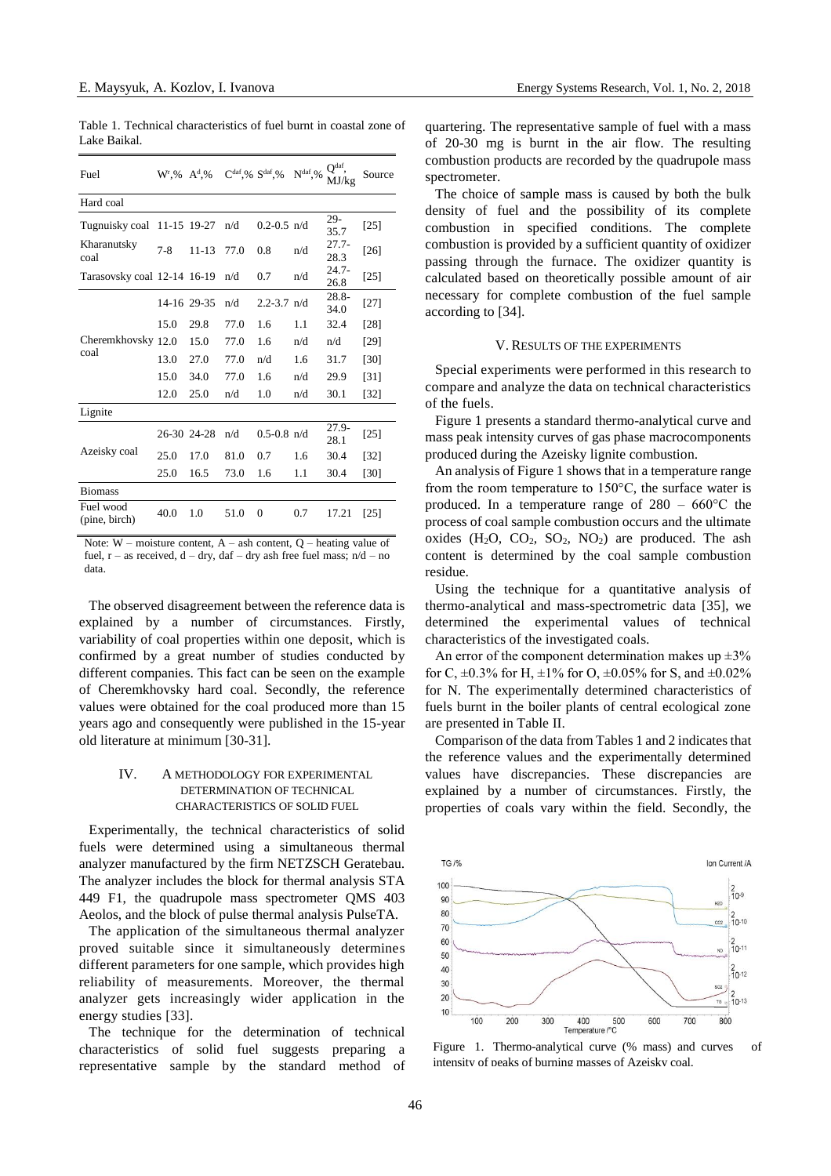| Table 1. Technical characteristics of fuel burnt in coastal zone of |  |  |  |
|---------------------------------------------------------------------|--|--|--|
| Lake Baikal.                                                        |  |  |  |

| Fuel                        | $W^{r}$ ,% $A^{d}$ ,% |             | $C^{daf},\%$ $S^{daf},\%$ |                 | $\mathbf{N}^{\mathrm{daf}},\%$ | O <sup>daf</sup><br>MJ/kg | Source |
|-----------------------------|-----------------------|-------------|---------------------------|-----------------|--------------------------------|---------------------------|--------|
| Hard coal                   |                       |             |                           |                 |                                |                           |        |
| Tugnuisky coal              | 11-15 19-27           |             | n/d                       | $0.2 - 0.5$ n/d |                                | $29-$<br>35.7             | $[25]$ |
| Kharanutsky<br>coal         | $7 - 8$               | $11 - 13$   | 77.0                      | 0.8             | n/d                            | $27.7-$<br>28.3           | $[26]$ |
| Tarasovsky coal 12-14 16-19 |                       |             | n/d                       | 0.7             | n/d                            | $24.7 -$<br>26.8          | $[25]$ |
|                             |                       | 14-16 29-35 | n/d                       | $2.2 - 3.7$ n/d |                                | $28.8 -$<br>34.0          | $[27]$ |
|                             | 15.0                  | 29.8        | 77.0                      | 1.6             | 1.1                            | 32.4                      | [28]   |
| Cheremkhovsky 12.0          |                       | 15.0        | 77.0                      | 1.6             | n/d                            | n/d                       | [29]   |
| coal                        | 13.0                  | 27.0        | 77.0                      | n/d             | 1.6                            | 31.7                      | [30]   |
|                             | 15.0                  | 34.0        | 77.0                      | 1.6             | n/d                            | 29.9                      | [31]   |
|                             | 12.0                  | 25.0        | n/d                       | 1.0             | n/d                            | 30.1                      | [32]   |
| Lignite                     |                       |             |                           |                 |                                |                           |        |
|                             | 26-30 24-28           |             | n/d                       | $0.5 - 0.8$ n/d |                                | $27.9 -$<br>28.1          | $[25]$ |
| Azeisky coal                | 25.0                  | 17.0        | 81.0                      | 0.7             | 1.6                            | 30.4                      | $[32]$ |
|                             | 25.0                  | 16.5        | 73.0                      | 1.6             | 1.1                            | 30.4                      | [30]   |
| <b>Biomass</b>              |                       |             |                           |                 |                                |                           |        |
| Fuel wood<br>(pine, birch)  | 40.0                  | 1.0         | 51.0                      | 0               | 0.7                            | 17.21                     | [25]   |

Note:  $W$  – moisture content,  $A$  – ash content,  $Q$  – heating value of fuel,  $r -$  as received,  $d -$  dry, daf – dry ash free fuel mass;  $n/d - n$ o data.

The observed disagreement between the reference data is explained by a number of circumstances. Firstly, variability of coal properties within one deposit, which is confirmed by a great number of studies conducted by different companies. This fact can be seen on the example of Cheremkhovsky hard coal. Secondly, the reference values were obtained for the coal produced more than 15 years ago and consequently were published in the 15-year old literature at minimum [30-31].

# IV. A METHODOLOGY FOR EXPERIMENTAL DETERMINATION OF TECHNICAL CHARACTERISTICS OF SOLID FUEL

Experimentally, the technical characteristics of solid fuels were determined using a simultaneous thermal analyzer manufactured by the firm NETZSCH Geratebau. The analyzer includes the block for thermal analysis STA 449 F1, the quadrupole mass spectrometer QMS 403 Aeolos, and the block of pulse thermal analysis PulseTA.

The application of the simultaneous thermal analyzer proved suitable since it simultaneously determines different parameters for one sample, which provides high reliability of measurements. Moreover, the thermal analyzer gets increasingly wider application in the energy studies [33].

The technique for the determination of technical characteristics of solid fuel suggests preparing a representative sample by the standard method of quartering. The representative sample of fuel with a mass of 20-30 mg is burnt in the air flow. The resulting combustion products are recorded by the quadrupole mass spectrometer.

The choice of sample mass is caused by both the bulk density of fuel and the possibility of its complete combustion in specified conditions. The complete combustion is provided by a sufficient quantity of oxidizer passing through the furnace. The oxidizer quantity is calculated based on theoretically possible amount of air necessary for complete combustion of the fuel sample according to [34].

#### V. RESULTS OF THE EXPERIMENTS

Special experiments were performed in this research to compare and analyze the data on technical characteristics of the fuels.

Figure 1 presents a standard thermo-analytical curve and mass peak intensity curves of gas phase macrocomponents produced during the Azeisky lignite combustion.

An analysis of Figure 1 shows that in a temperature range from the room temperature to 150°С, the surface water is produced. In a temperature range of  $280 - 660^{\circ}\text{C}$  the process of coal sample combustion occurs and the ultimate oxides  $(H_2O, CO_2, SO_2, NO_2)$  are produced. The ash content is determined by the coal sample combustion residue.

Using the technique for a quantitative analysis of thermo-analytical and mass-spectrometric data [35], we determined the experimental values of technical characteristics of the investigated coals.

An error of the component determination makes up  $\pm 3\%$ for C,  $\pm 0.3\%$  for H,  $\pm 1\%$  for O,  $\pm 0.05\%$  for S, and  $\pm 0.02\%$ for N. The experimentally determined characteristics of fuels burnt in the boiler plants of central ecological zone are presented in Table II.

Comparison of the data from Tables 1 and 2 indicates that the reference values and the experimentally determined values have discrepancies. These discrepancies are explained by a number of circumstances. Firstly, the properties of coals vary within the field. Secondly, the



Figure 1. Thermo-analytical curve (% mass) and curves of intensity of peaks of burning masses of Azeisky coal.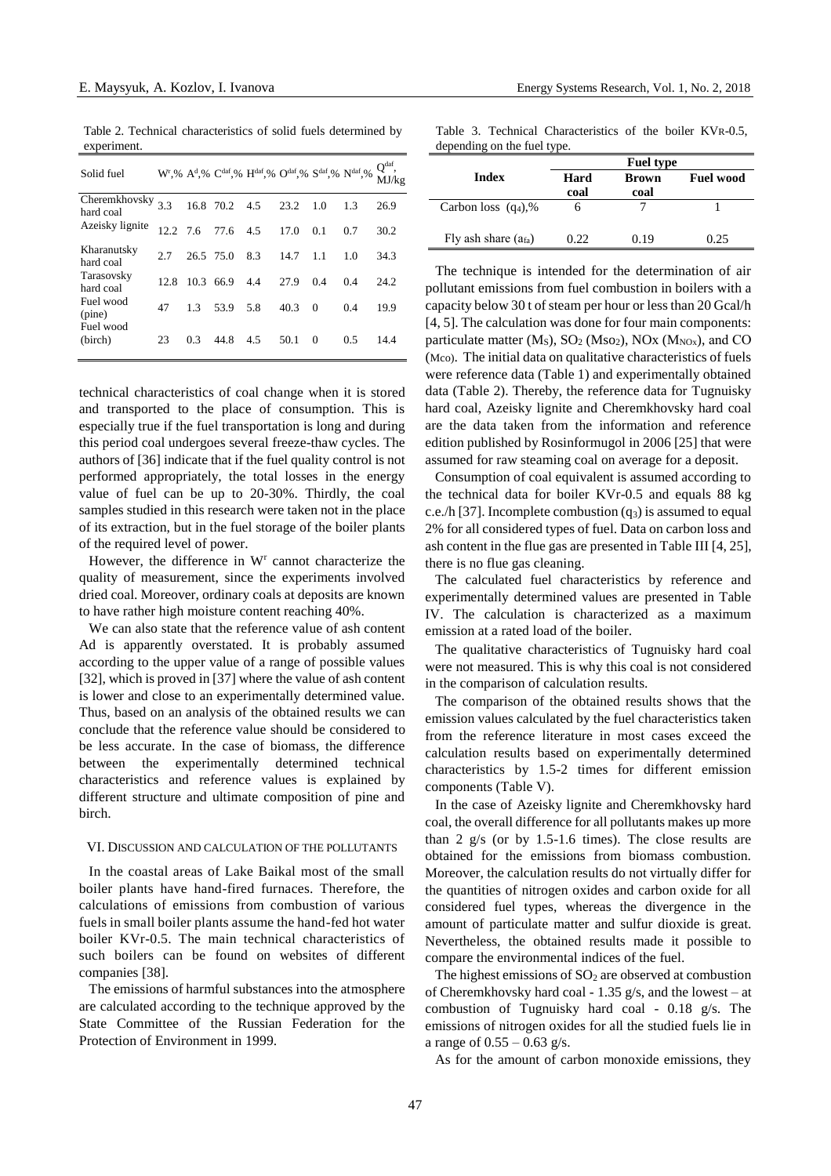Table 2. Technical characteristics of solid fuels determined by experiment.

| Solid fuel                 |            |           |               |     | $W^{r},\%$ A <sup>d</sup> ,% C <sup>daf</sup> ,% H <sup>daf</sup> ,% O <sup>daf</sup> ,% S <sup>daf</sup> ,% N <sup>daf</sup> ,% |          |     | Q <sup>dat</sup><br>MJ/kg |
|----------------------------|------------|-----------|---------------|-----|----------------------------------------------------------------------------------------------------------------------------------|----------|-----|---------------------------|
| Cheremkhovsky<br>hard coal | 3.3        |           | 16.8 70.2 4.5 |     | 23.2                                                                                                                             | 1.0      | 13  | 26.9                      |
| Azeisky lignite            | $12.2$ 7.6 |           | 77.6          | 4.5 | 17.0                                                                                                                             | 0.1      | 0.7 | 30.2                      |
| Kharanutsky<br>hard coal   | 2.7        | 26.5 75.0 |               | 8.3 | 14.7                                                                                                                             | 1.1      | 1.0 | 34.3                      |
| Tarasovsky<br>hard coal    | 12.8       | 10.3      | 66.9          | 44  | 27.9                                                                                                                             | 0.4      | 04  | 24.2                      |
| Fuel wood<br>(pine)        | 47         | 1.3       | 53.9          | 5.8 | 40.3                                                                                                                             | $\Omega$ | 04  | 19.9                      |
| Fuel wood<br>(birch)       | 23         | 0.3       | 44.8          | 4.5 | 50.1                                                                                                                             | $\Omega$ | 0.5 | 14.4                      |

technical characteristics of coal change when it is stored and transported to the place of consumption. This is especially true if the fuel transportation is long and during this period coal undergoes several freeze-thaw cycles. The authors of [36] indicate that if the fuel quality control is not performed appropriately, the total losses in the energy value of fuel can be up to 20-30%. Thirdly, the coal samples studied in this research were taken not in the place of its extraction, but in the fuel storage of the boiler plants of the required level of power.

However, the difference in W<sup>r</sup> cannot characterize the quality of measurement, since the experiments involved dried coal. Moreover, ordinary coals at deposits are known to have rather high moisture content reaching 40%.

We can also state that the reference value of ash content Ad is apparently overstated. It is probably assumed according to the upper value of a range of possible values [32], which is proved in [37] where the value of ash content is lower and close to an experimentally determined value. Thus, based on an analysis of the obtained results we can conclude that the reference value should be considered to be less accurate. In the case of biomass, the difference between the experimentally determined technical characteristics and reference values is explained by different structure and ultimate composition of pine and birch.

#### VI. DISCUSSION AND CALCULATION OF THE POLLUTANTS

In the coastal areas of Lake Baikal most of the small boiler plants have hand-fired furnaces. Therefore, the calculations of emissions from combustion of various fuels in small boiler plants assume the hand-fed hot water boiler KVr-0.5. The main technical characteristics of such boilers can be found on websites of different companies [38].

The emissions of harmful substances into the atmosphere are calculated according to the technique approved by the State Committee of the Russian Federation for the Protection of Environment in 1999.

Table 3. Technical Characteristics of the boiler KVR-0.5, depending on the fuel type.

|                        |      | <b>Fuel type</b> |                  |
|------------------------|------|------------------|------------------|
| Index                  | Hard | <b>Brown</b>     | <b>Fuel wood</b> |
|                        | coal | coal             |                  |
| Carbon loss $(q_4)$ ,% |      |                  |                  |
| Fly ash share $(afa)$  | 0.22 | 0.19             | 0.25             |

The technique is intended for the determination of air pollutant emissions from fuel combustion in boilers with a capacity below 30 t of steam per hour or less than 20 Gcal/h [4, 5]. The calculation was done for four main components: particulate matter  $(M<sub>S</sub>)$ ,  $SO<sub>2</sub> (Mso<sub>2</sub>)$ ,  $NOx (M<sub>NOx</sub>)$ , and CO (Mco). The initial data on qualitative characteristics of fuels were reference data (Table 1) and experimentally obtained data (Table 2). Thereby, the reference data for Tugnuisky hard coal, Azeisky lignite and Cheremkhovsky hard coal are the data taken from the information and reference edition published by Rosinformugol in 2006 [25] that were assumed for raw steaming coal on average for a deposit.

Consumption of coal equivalent is assumed according to the technical data for boiler KVr-0.5 and equals 88 kg c.e./h [37]. Incomplete combustion  $(q_3)$  is assumed to equal 2% for all considered types of fuel. Data on carbon loss and ash content in the flue gas are presented in Table III [4, 25], there is no flue gas cleaning.

The calculated fuel characteristics by reference and experimentally determined values are presented in Table IV. The calculation is characterized as a maximum emission at a rated load of the boiler.

The qualitative characteristics of Tugnuisky hard coal were not measured. This is why this coal is not considered in the comparison of calculation results.

The comparison of the obtained results shows that the emission values calculated by the fuel characteristics taken from the reference literature in most cases exceed the calculation results based on experimentally determined characteristics by 1.5-2 times for different emission components (Table V).

In the case of Azeisky lignite and Cheremkhovsky hard coal, the overall difference for all pollutants makes up more than 2  $g/s$  (or by 1.5-1.6 times). The close results are obtained for the emissions from biomass combustion. Moreover, the calculation results do not virtually differ for the quantities of nitrogen oxides and carbon oxide for all considered fuel types, whereas the divergence in the amount of particulate matter and sulfur dioxide is great. Nevertheless, the obtained results made it possible to compare the environmental indices of the fuel.

The highest emissions of  $SO<sub>2</sub>$  are observed at combustion of Cheremkhovsky hard coal - 1.35 g/s, and the lowest – at combustion of Tugnuisky hard coal - 0.18 g/s. The emissions of nitrogen oxides for all the studied fuels lie in a range of  $0.55 - 0.63$  g/s.

As for the amount of carbon monoxide emissions, they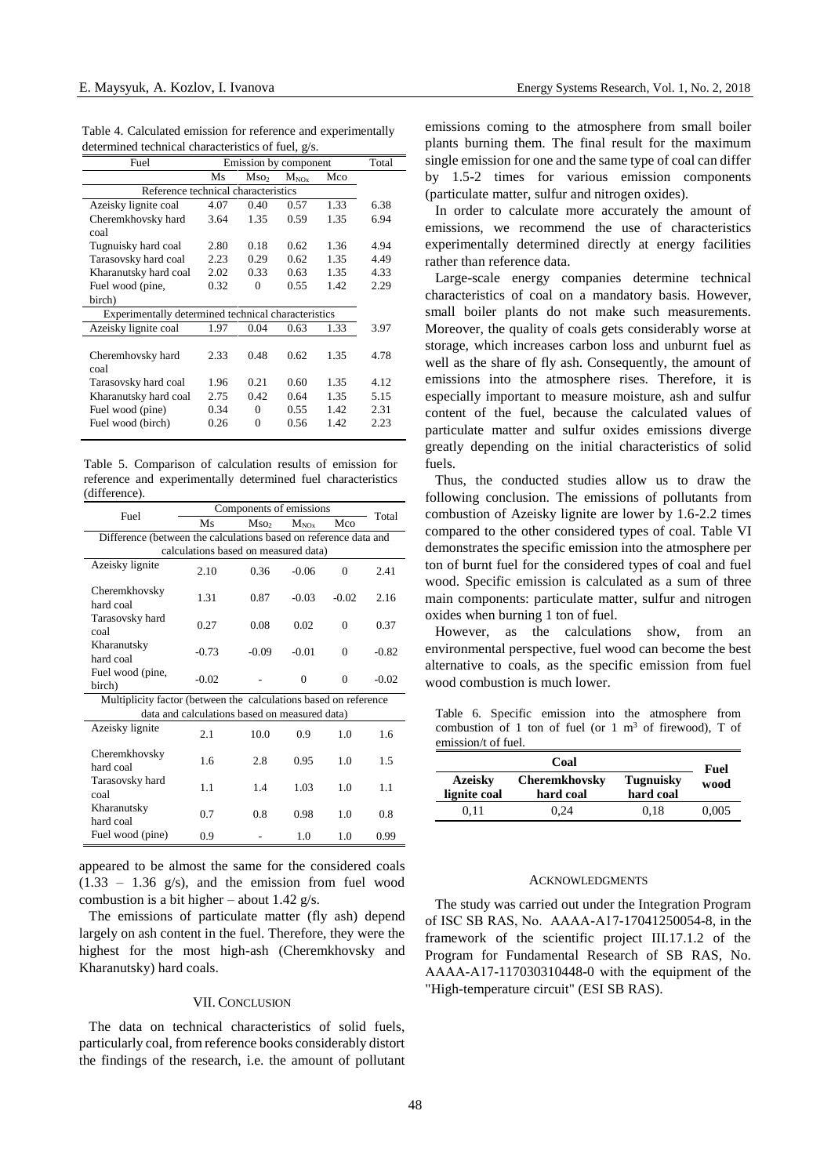Table 4. Calculated emission for reference and experimentally determined technical characteristics of fuel, g/s.

| Fuel                                                |      | Emission by component |           |      |      |  |
|-----------------------------------------------------|------|-----------------------|-----------|------|------|--|
|                                                     | Ms   | Mso <sub>2</sub>      | $M_{NOx}$ | Mco  |      |  |
| Reference technical characteristics                 |      |                       |           |      |      |  |
| Azeisky lignite coal                                | 4.07 | 0.40                  | 0.57      | 1.33 | 6.38 |  |
| Cheremkhovsky hard                                  | 3.64 | 1.35                  | 0.59      | 1.35 | 6.94 |  |
| coal                                                |      |                       |           |      |      |  |
| Tugnuisky hard coal                                 | 2.80 | 0.18                  | 0.62      | 1.36 | 4.94 |  |
| Tarasovsky hard coal                                | 2.23 | 0.29                  | 0.62      | 1.35 | 4.49 |  |
| Kharanutsky hard coal                               | 2.02 | 0.33                  | 0.63      | 1.35 | 4.33 |  |
| Fuel wood (pine,                                    | 0.32 | $\Omega$              | 0.55      | 1.42 | 2.29 |  |
| birch)                                              |      |                       |           |      |      |  |
| Experimentally determined technical characteristics |      |                       |           |      |      |  |
| Azeisky lignite coal                                | 1.97 | 0.04                  | 0.63      | 1.33 | 3.97 |  |
|                                                     |      |                       |           |      |      |  |
| Cheremhovsky hard                                   | 2.33 | 0.48                  | 0.62      | 1.35 | 4.78 |  |
| coal                                                |      |                       |           |      |      |  |
| Tarasovsky hard coal                                | 1.96 | 0.21                  | 0.60      | 1.35 | 4.12 |  |
| Kharanutsky hard coal                               | 2.75 | 0.42                  | 0.64      | 1.35 | 5.15 |  |
| Fuel wood (pine)                                    | 0.34 | $\Omega$              | 0.55      | 1.42 | 2.31 |  |
| Fuel wood (birch)                                   | 0.26 | 0                     | 0.56      | 1.42 | 2.23 |  |
|                                                     |      |                       |           |      |      |  |

Table 5. Comparison of calculation results of emission for reference and experimentally determined fuel characteristics (difference).

| Fuel                                                             | Components of emissions                       | Total            |           |          |         |  |  |
|------------------------------------------------------------------|-----------------------------------------------|------------------|-----------|----------|---------|--|--|
|                                                                  | Ms                                            | Mso <sub>2</sub> | $M_{NOx}$ | Mco      |         |  |  |
| Difference (between the calculations based on reference data and |                                               |                  |           |          |         |  |  |
|                                                                  | calculations based on measured data)          |                  |           |          |         |  |  |
| Azeisky lignite                                                  | 2.10                                          | 0.36             | $-0.06$   | $\theta$ | 2.41    |  |  |
| Cheremkhovsky<br>hard coal                                       | 1.31                                          | 0.87             | $-0.03$   | $-0.02$  | 2.16    |  |  |
| Tarasovsky hard<br>coal                                          | 0.27                                          | 0.08             | 0.02      | $\Omega$ | 0.37    |  |  |
| Kharanutsky<br>hard coal                                         | $-0.73$                                       | $-0.09$          | $-0.01$   | $\Omega$ | $-0.82$ |  |  |
| Fuel wood (pine,<br>birch)                                       | $-0.02$                                       |                  | $\Omega$  | $\theta$ | $-0.02$ |  |  |
| Multiplicity factor (between the calculations based on reference |                                               |                  |           |          |         |  |  |
|                                                                  | data and calculations based on measured data) |                  |           |          |         |  |  |
| Azeisky lignite                                                  | 2.1                                           | 10.0             | 0.9       | 1.0      | 1.6     |  |  |
| Cheremkhovsky<br>hard coal                                       | 1.6                                           | 2.8              | 0.95      | 1.0      | 1.5     |  |  |
| Tarasovsky hard<br>coal                                          | 1.1                                           | 14               | 1.03      | 1.0      | 1.1     |  |  |
| Kharanutsky<br>hard coal                                         | 0.7                                           | 0.8              | 0.98      | 1.0      | 0.8     |  |  |
| Fuel wood (pine)                                                 | 0.9                                           |                  | 1.0       | 1.0      | 0.99    |  |  |

appeared to be almost the same for the considered coals  $(1.33 - 1.36 \text{ g/s})$ , and the emission from fuel wood combustion is a bit higher – about 1.42 g/s.

The emissions of particulate matter (fly ash) depend largely on ash content in the fuel. Therefore, they were the highest for the most high-ash (Cheremkhovsky and Kharanutsky) hard coals.

## VII. CONCLUSION

The data on technical characteristics of solid fuels, particularly coal, from reference books considerably distort the findings of the research, i.e. the amount of pollutant emissions coming to the atmosphere from small boiler plants burning them. The final result for the maximum single emission for one and the same type of coal can differ by 1.5-2 times for various emission components (particulate matter, sulfur and nitrogen oxides).

In order to calculate more accurately the amount of emissions, we recommend the use of characteristics experimentally determined directly at energy facilities rather than reference data.

Large-scale energy companies determine technical characteristics of coal on a mandatory basis. However, small boiler plants do not make such measurements. Moreover, the quality of coals gets considerably worse at storage, which increases carbon loss and unburnt fuel as well as the share of fly ash. Consequently, the amount of emissions into the atmosphere rises. Therefore, it is especially important to measure moisture, ash and sulfur content of the fuel, because the calculated values of particulate matter and sulfur oxides emissions diverge greatly depending on the initial characteristics of solid fuels.

Thus, the conducted studies allow us to draw the following conclusion. The emissions of pollutants from combustion of Azeisky lignite are lower by 1.6-2.2 times compared to the other considered types of coal. Table VI demonstrates the specific emission into the atmosphere per ton of burnt fuel for the considered types of coal and fuel wood. Specific emission is calculated as a sum of three main components: particulate matter, sulfur and nitrogen oxides when burning 1 ton of fuel.

However, as the calculations show, from an environmental perspective, fuel wood can become the best alternative to coals, as the specific emission from fuel wood combustion is much lower.

Table 6. Specific emission into the atmosphere from combustion of 1 ton of fuel (or  $1 \text{ m}^3$  of firewood), T of emission/t of fuel.

|                                | Fuel                       |                               |       |
|--------------------------------|----------------------------|-------------------------------|-------|
| <b>Azeisky</b><br>lignite coal | Cheremkhovsky<br>hard coal | <b>Tugnuisky</b><br>hard coal | wood  |
| 0.11                           | 0.24                       | 0.18                          | 0.005 |

#### ACKNOWLEDGMENTS

The study was carried out under the Integration Program of ISC SB RAS, No. АААА-А17-17041250054-8, in the framework of the scientific project III.17.1.2 of the Program for Fundamental Research of SB RAS, No. АААА-А17-117030310448-0 with the equipment of the "High-temperature circuit" (ESI SB RAS).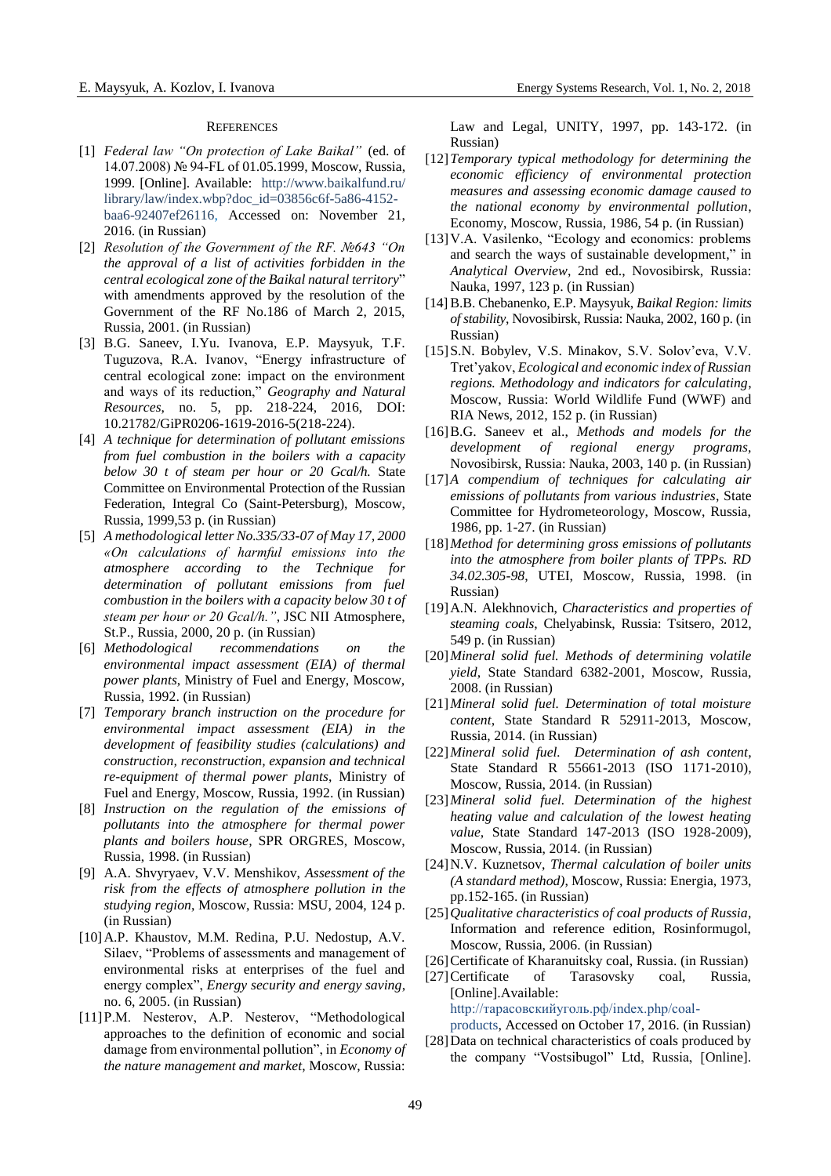#### **REFERENCES**

- [1] *Federal law "On protection of Lake Baikal"* (ed. of 14.07.2008) № 94-FL оf 01.05.1999, Moscow, Russia, 1999. [Online]. Available: [http://www.baikalfund.ru/](http://www.baikalfund.ru/%20library/law/index.wbp?doc_id=03856c6f-5a86-4152-baa6-92407ef26116)  [library/law/index.wbp?doc\\_id=03856c6f-5a86-4152](http://www.baikalfund.ru/%20library/law/index.wbp?doc_id=03856c6f-5a86-4152-baa6-92407ef26116) [baa6-92407ef26116,](http://www.baikalfund.ru/%20library/law/index.wbp?doc_id=03856c6f-5a86-4152-baa6-92407ef26116) Accessed on: November 21, 2016. (in Russian)
- [2] *Resolution of the Government of the RF. №643 "On the approval of a list of activities forbidden in the central ecological zone of the Baikal natural territory*" with amendments approved by the resolution of the Government of the RF No.186 of March 2, 2015, Russia, 2001. (in Russian)
- [3] B.G. Saneev, I.Yu. Ivanova, E.P. Maysyuk, T.F. Tuguzova, R.A. Ivanov, "Energy infrastructure of central ecological zone: impact on the environment and ways of its reduction," *Geography and Natural Resources*, no. 5, pp. 218-224, 2016, DOI: 10.21782/GiPR0206-1619-2016-5(218-224).
- [4] *A technique for determination of pollutant emissions from fuel combustion in the boilers with a capacity below 30 t of steam per hour or 20 Gcal/h.* State Committee on Environmental Protection of the Russian Federation, Integral Co (Saint-Petersburg), Moscow, Russia, 1999,53 p. (in Russian)
- [5] *A methodological letter No.335/33-07 of May 17, 2000 «On calculations of harmful emissions into the atmosphere according to the Technique for determination of pollutant emissions from fuel combustion in the boilers with a capacity below 30 t of steam per hour or 20 Gcal/h."*, JSC NII Atmosphere, St.P., Russia, 2000, 20 p. (in Russian)
- [6] *Methodological recommendations on the environmental impact assessment (EIA) of thermal power plants*, Ministry of Fuel and Energy, Moscow, Russia, 1992. (in Russian)
- [7] *Temporary branch instruction on the procedure for environmental impact assessment (EIA) in the development of feasibility studies (calculations) and construction, reconstruction, expansion and technical re-equipment of thermal power plants*, Ministry of Fuel and Energy, Moscow, Russia, 1992. (in Russian)
- [8] *Instruction on the regulation of the emissions of pollutants into the atmosphere for thermal power plants and boilers house,* SPR ORGRES, Moscow, Russia, 1998. (in Russian)
- [9] A.A. Shvyryaev, V.V. Menshikov, *Assessment of the risk from the effects of atmosphere pollution in the studying region*, Moscow, Russia: MSU, 2004, 124 p. (in Russian)
- [10]A.P. Khaustov, M.M. Redina, P.U. Nedostup, A.V. Silaev, "Problems of assessments and management of environmental risks at enterprises of the fuel and energy complex", *Energy security and energy saving*, no. 6, 2005. (in Russian)
- [11]P.M. Nesterov, A.P. Nesterov, "Methodological approaches to the definition of economic and social damage from environmental pollution", in *Economy of the nature management and market*, Moscow, Russia:

Law and Legal, UNITY, 1997, pp. 143-172. (in Russian)

- [12]*Temporary typical methodology for determining the economic efficiency of environmental protection measures and assessing economic damage caused to the national economy by environmental pollution*, Economy, Moscow, Russia, 1986, 54 p. (in Russian)
- [13]V.A. Vasilenko, "Ecology and economics: problems and search the ways of sustainable development," in *Analytical Overview*, 2nd ed., Novosibirsk, Russia: Nauka, 1997, 123 p. (in Russian)
- [14]B.B. Chebanenko, E.P. Maysyuk, *Baikal Region: limits of stability*, Novosibirsk, Russia: Nauka, 2002, 160 p. (in Russian)
- [15] S.N. Bobylev, V.S. Minakov, S.V. Solov'eva, V.V. Tret'yakov, *Ecological and economic index of Russian regions. Methodology and indicators for calculating*, Moscow, Russia: World Wildlife Fund (WWF) and RIA News, 2012, 152 p. (in Russian)
- [16]B.G. Saneev et al., *Methods and models for the development of regional energy programs*, Novosibirsk, Russia: Nauka, 2003, 140 p. (in Russian)
- [17]*A compendium of techniques for calculating air emissions of pollutants from various industries*, State Committee for Hydrometeorology, Moscow, Russia, 1986, pp. 1-27. (in Russian)
- [18]*Method for determining gross emissions of pollutants into the atmosphere from boiler plants of TPPs. RD 34.02.305-98*, UTEI, Moscow, Russia, 1998. (in Russian)
- [19]A.N. Alekhnovich, *Characteristics and properties of steaming coals*, Chelyabinsk, Russia: Tsitsero, 2012, 549 p. (in Russian)
- [20]*Mineral solid fuel. Methods of determining volatile yield*, State Standard 6382-2001, Moscow, Russia, 2008. (in Russian)
- [21]*Mineral solid fuel. Determination of total moisture content*, State Standard R 52911-2013, Moscow, Russia, 2014. (in Russian)
- [22]*Mineral solid fuel. Determination of ash content*, State Standard R 55661-2013 (ISO 1171-2010), Moscow, Russia, 2014. (in Russian)
- [23]*Mineral solid fuel. Determination of the highest heating value and calculation of the lowest heating value*, State Standard 147-2013 (ISO 1928-2009), Moscow, Russia, 2014. (in Russian)
- [24]N.V. Kuznetsov, *Thermal calculation of boiler units (A standard method)*, Moscow, Russia: Energia, 1973, pp.152-165. (in Russian)
- [25]*Qualitative characteristics of coal products of Russia*, Information and reference edition, Rosinformugol, Moscow, Russia, 2006. (in Russian)
- [26] Certificate of Kharanuitsky coal, Russia. (in Russian)
- [27] Certificate of Tarasovsky coal, Russia, [Online].Available: [http://тарасовскийуголь.рф/index.php/coal-](http://тарасовскийуголь.рф/index.php/coal-products)
- [products,](http://тарасовскийуголь.рф/index.php/coal-products) Accessed on October 17, 2016. (in Russian) [28]Data on technical characteristics of coals produced by the company "Vostsibugol" Ltd, Russia, [Online].